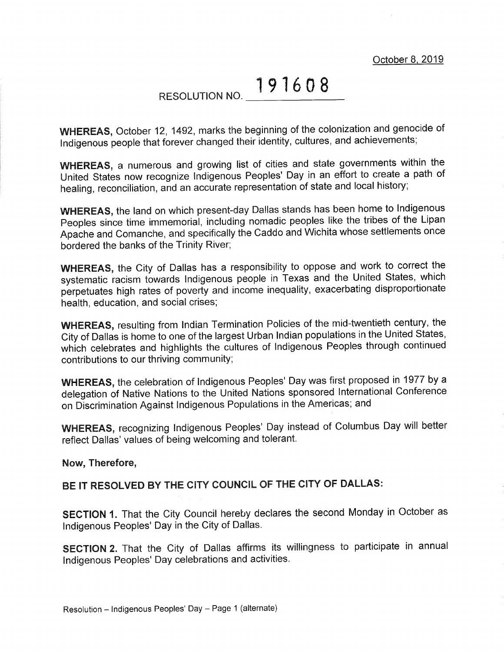October 8.2019

## RESOLUTION NO. 191608

WHEREAS, October 12, 1492, marks the beginning of the colonization and genocide of Indigenous people that forever changed their identity, cultures, and achievements;

WHEREAS, a numerous and growing list of cities and state governments within the United States now recognize Indigenous Peoples' Day in an effort to create a path of healing, reconciliation, and an accurate representation of state and local history;

WHEREAS, the land on which present-day Dallas stands has been home to lndigenous peoples since time immemoriai, including nomadic peoples like the tribes of the Lipan Apache and Comanche, and specifically the Caddo and Wichita whose settlements once bordered the banks of the Trinity River;

WHEREAS, the City of Dallas has a responsibility to oppose and work to correct the systematic iacism towards Indigenous people in Texas and the United States, which perpetuates high rates of poverty and income inequality, exacerbating disproportionate health, education, and social crises;

WHEREAS, resulting from Indian Termination Policies of the mid-twentieth century, the City of Dallas is home to one of the largest Urban lndian populations in the United States, which celebrates and highlights the cultures of Indigenous Peoples through continued contributions to our thriving community;

WHEREAS, the celebration of lndigenous Peoples' Day was first proposed in 1977 by <sup>a</sup> delegation of Native Nations to the United Nations sponsored lnternational Conference on Discrimination Against lndigenous Populations in the Americas; and

WHEREAS, recognizing lndigenous Peoples' Day instead of Columbus Day will better reflect Dallas' values of being welcoming and tolerant.

## Now, Therefore,

## BE IT RESOLVED BY THE CITY COUNCIL OF THE CITY OF DALLAS:

SECTION 1. That the City Council hereby declares the second Monday in October as lndigenous Peoples' Day in the City of Dallas.

SECTION 2. That the City of Dallas affirms its willingness to participate in annual lndigenous Peoples' Day celebrations and activities.